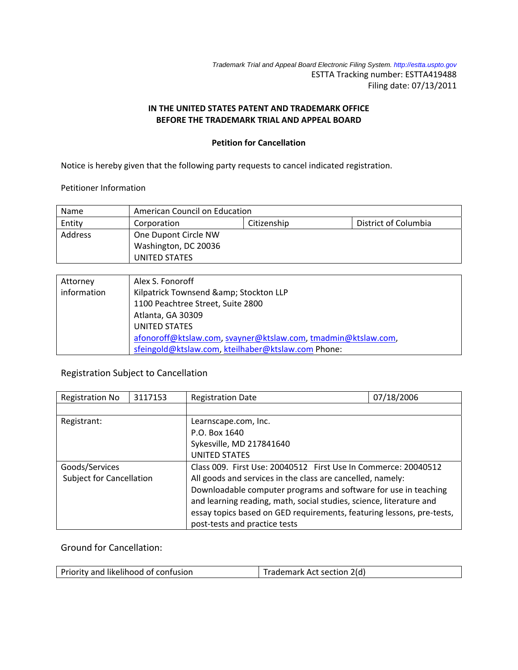*Trademark Trial and Appeal Board Electronic Filing System. http://estta.uspto.gov* ESTTA Tracking number: ESTTA419488 Filing date: 07/13/2011

### **IN THE UNITED STATES PATENT AND TRADEMARK OFFICE BEFORE THE TRADEMARK TRIAL AND APPEAL BOARD**

#### **Petition for Cancellation**

Notice is hereby given that the following party requests to cancel indicated registration.

Petitioner Information

| Name    | American Council on Education                      |  |  |
|---------|----------------------------------------------------|--|--|
| Entity  | District of Columbia<br>Citizenship<br>Corporation |  |  |
| Address | One Dupont Circle NW                               |  |  |
|         | Washington, DC 20036                               |  |  |
|         | UNITED STATES                                      |  |  |

| Attorney    | Alex S. Fonoroff                                              |
|-------------|---------------------------------------------------------------|
| information | Kilpatrick Townsend & Stockton LLP                            |
|             | 1100 Peachtree Street, Suite 2800                             |
|             | Atlanta, GA 30309                                             |
|             | UNITED STATES                                                 |
|             | afonoroff@ktslaw.com, svayner@ktslaw.com, tmadmin@ktslaw.com, |
|             | sfeingold@ktslaw.com, kteilhaber@ktslaw.com Phone:            |

# Registration Subject to Cancellation

| <b>Registration No</b>          | 3117153 | <b>Registration Date</b>                                              | 07/18/2006 |  |  |
|---------------------------------|---------|-----------------------------------------------------------------------|------------|--|--|
|                                 |         |                                                                       |            |  |  |
| Registrant:                     |         | Learnscape.com, Inc.                                                  |            |  |  |
|                                 |         | P.O. Box 1640                                                         |            |  |  |
|                                 |         | Sykesville, MD 217841640                                              |            |  |  |
|                                 |         | <b>UNITED STATES</b>                                                  |            |  |  |
| Goods/Services                  |         | Class 009. First Use: 20040512 First Use In Commerce: 20040512        |            |  |  |
| <b>Subject for Cancellation</b> |         | All goods and services in the class are cancelled, namely:            |            |  |  |
|                                 |         | Downloadable computer programs and software for use in teaching       |            |  |  |
|                                 |         | and learning reading, math, social studies, science, literature and   |            |  |  |
|                                 |         | essay topics based on GED requirements, featuring lessons, pre-tests, |            |  |  |
|                                 |         | post-tests and practice tests                                         |            |  |  |

Ground for Cancellation:

| Priority and likelihood of confusion<br>Trademark Act section 2(d) |
|--------------------------------------------------------------------|
|--------------------------------------------------------------------|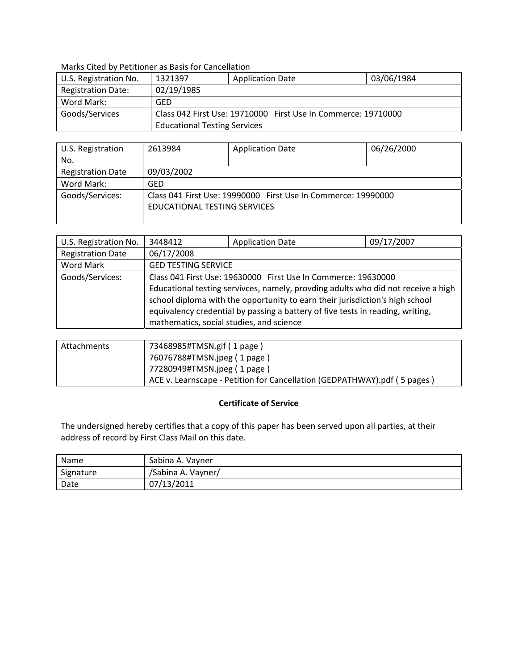### Marks Cited by Petitioner as Basis for Cancellation

| U.S. Registration No.     | 1321397                                                       | <b>Application Date</b> | 03/06/1984 |
|---------------------------|---------------------------------------------------------------|-------------------------|------------|
| <b>Registration Date:</b> | 02/19/1985                                                    |                         |            |
| Word Mark:                | GFD                                                           |                         |            |
| Goods/Services            | Class 042 First Use: 19710000 First Use In Commerce: 19710000 |                         |            |
|                           | <b>Educational Testing Services</b>                           |                         |            |

| U.S. Registration        | 2613984                                                                                       | <b>Application Date</b> | 06/26/2000 |
|--------------------------|-----------------------------------------------------------------------------------------------|-------------------------|------------|
| No.                      |                                                                                               |                         |            |
| <b>Registration Date</b> | 09/03/2002                                                                                    |                         |            |
| Word Mark:               | GED                                                                                           |                         |            |
| Goods/Services:          | Class 041 First Use: 19990000 First Use In Commerce: 19990000<br>EDUCATIONAL TESTING SERVICES |                         |            |

| U.S. Registration No.    | 3448412                                  | <b>Application Date</b>                                                                                                                                                                                                                             | 09/17/2007 |
|--------------------------|------------------------------------------|-----------------------------------------------------------------------------------------------------------------------------------------------------------------------------------------------------------------------------------------------------|------------|
| <b>Registration Date</b> | 06/17/2008                               |                                                                                                                                                                                                                                                     |            |
| Word Mark                | <b>GED TESTING SERVICE</b>               |                                                                                                                                                                                                                                                     |            |
| Goods/Services:          |                                          | Class 041 First Use: 19630000 First Use In Commerce: 19630000                                                                                                                                                                                       |            |
|                          | mathematics, social studies, and science | Educational testing servivces, namely, provding adults who did not receive a high<br>school diploma with the opportunity to earn their jurisdiction's high school<br>equivalency credential by passing a battery of five tests in reading, writing, |            |

| Attachments | 73468985#TMSN.gif (1 page)                                               |
|-------------|--------------------------------------------------------------------------|
|             | 76076788#TMSN.jpeg (1 page)                                              |
|             | 77280949#TMSN.jpeg (1 page)                                              |
|             | ACE v. Learnscape - Petition for Cancellation (GEDPATHWAY).pdf (5 pages) |

### **Certificate of Service**

The undersigned hereby certifies that a copy of this paper has been served upon all parties, at their address of record by First Class Mail on this date.

| Name      | Sabina A. Vayner   |
|-----------|--------------------|
| Signature | /Sabina A. Vayner/ |
| Date      | 07/13/2011         |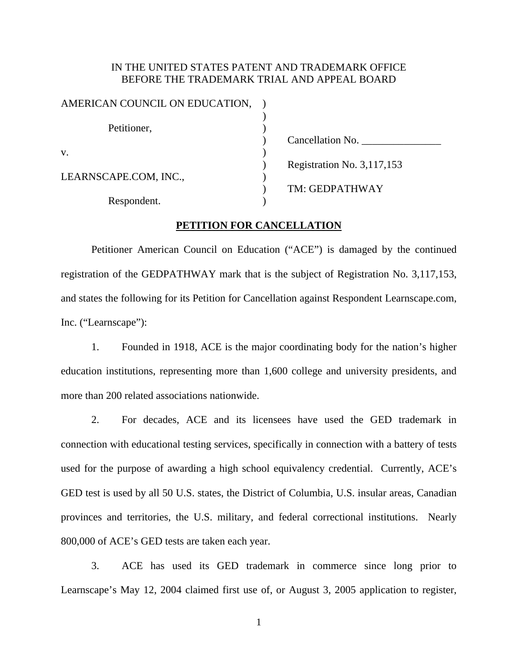### IN THE UNITED STATES PATENT AND TRADEMARK OFFICE BEFORE THE TRADEMARK TRIAL AND APPEAL BOARD

| AMERICAN COUNCIL ON EDUCATION, |                            |
|--------------------------------|----------------------------|
| Petitioner,                    |                            |
|                                | Cancellation No.           |
| V.                             |                            |
|                                | Registration No. 3,117,153 |
| LEARNSCAPE.COM, INC.,          |                            |
|                                | TM: GEDPATHWAY             |
| Respondent.                    |                            |

### **PETITION FOR CANCELLATION**

 Petitioner American Council on Education ("ACE") is damaged by the continued registration of the GEDPATHWAY mark that is the subject of Registration No. 3,117,153, and states the following for its Petition for Cancellation against Respondent Learnscape.com, Inc. ("Learnscape"):

1. Founded in 1918, ACE is the major coordinating body for the nation's higher education institutions, representing more than 1,600 college and university presidents, and more than 200 related associations nationwide.

2. For decades, ACE and its licensees have used the GED trademark in connection with educational testing services, specifically in connection with a battery of tests used for the purpose of awarding a high school equivalency credential. Currently, ACE's GED test is used by all 50 U.S. states, the District of Columbia, U.S. insular areas, Canadian provinces and territories, the U.S. military, and federal correctional institutions. Nearly 800,000 of ACE's GED tests are taken each year.

3. ACE has used its GED trademark in commerce since long prior to Learnscape's May 12, 2004 claimed first use of, or August 3, 2005 application to register,

1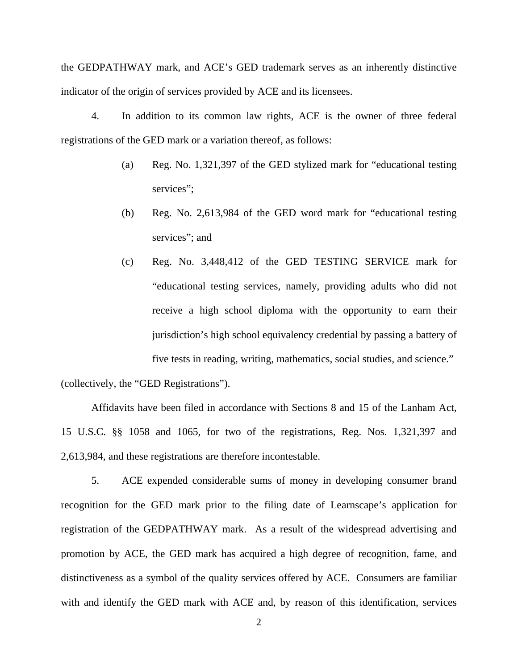the GEDPATHWAY mark, and ACE's GED trademark serves as an inherently distinctive indicator of the origin of services provided by ACE and its licensees.

4. In addition to its common law rights, ACE is the owner of three federal registrations of the GED mark or a variation thereof, as follows:

- (a) Reg. No. 1,321,397 of the GED stylized mark for "educational testing services";
- (b) Reg. No. 2,613,984 of the GED word mark for "educational testing services"; and
- (c) Reg. No. 3,448,412 of the GED TESTING SERVICE mark for "educational testing services, namely, providing adults who did not receive a high school diploma with the opportunity to earn their jurisdiction's high school equivalency credential by passing a battery of five tests in reading, writing, mathematics, social studies, and science."

(collectively, the "GED Registrations").

 Affidavits have been filed in accordance with Sections 8 and 15 of the Lanham Act, 15 U.S.C. §§ 1058 and 1065, for two of the registrations, Reg. Nos. 1,321,397 and 2,613,984, and these registrations are therefore incontestable.

5. ACE expended considerable sums of money in developing consumer brand recognition for the GED mark prior to the filing date of Learnscape's application for registration of the GEDPATHWAY mark. As a result of the widespread advertising and promotion by ACE, the GED mark has acquired a high degree of recognition, fame, and distinctiveness as a symbol of the quality services offered by ACE. Consumers are familiar with and identify the GED mark with ACE and, by reason of this identification, services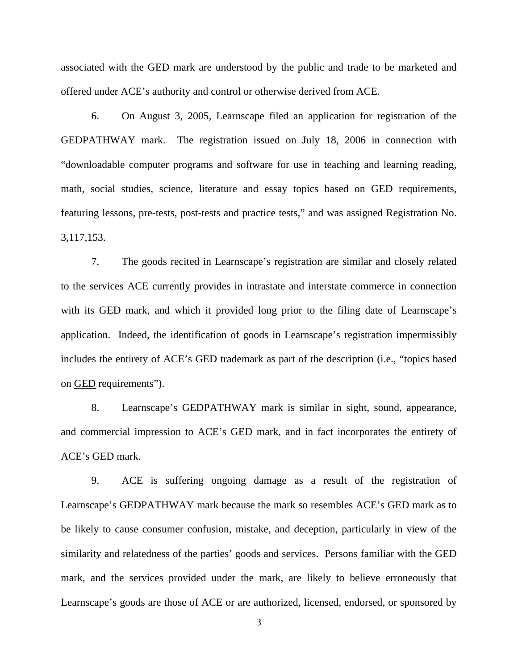associated with the GED mark are understood by the public and trade to be marketed and offered under ACE's authority and control or otherwise derived from ACE.

6. On August 3, 2005, Learnscape filed an application for registration of the GEDPATHWAY mark. The registration issued on July 18, 2006 in connection with "downloadable computer programs and software for use in teaching and learning reading, math, social studies, science, literature and essay topics based on GED requirements, featuring lessons, pre-tests, post-tests and practice tests," and was assigned Registration No. 3,117,153.

7. The goods recited in Learnscape's registration are similar and closely related to the services ACE currently provides in intrastate and interstate commerce in connection with its GED mark, and which it provided long prior to the filing date of Learnscape's application. Indeed, the identification of goods in Learnscape's registration impermissibly includes the entirety of ACE's GED trademark as part of the description (i.e., "topics based on GED requirements").

8. Learnscape's GEDPATHWAY mark is similar in sight, sound, appearance, and commercial impression to ACE's GED mark, and in fact incorporates the entirety of ACE's GED mark.

9. ACE is suffering ongoing damage as a result of the registration of Learnscape's GEDPATHWAY mark because the mark so resembles ACE's GED mark as to be likely to cause consumer confusion, mistake, and deception, particularly in view of the similarity and relatedness of the parties' goods and services. Persons familiar with the GED mark, and the services provided under the mark, are likely to believe erroneously that Learnscape's goods are those of ACE or are authorized, licensed, endorsed, or sponsored by

3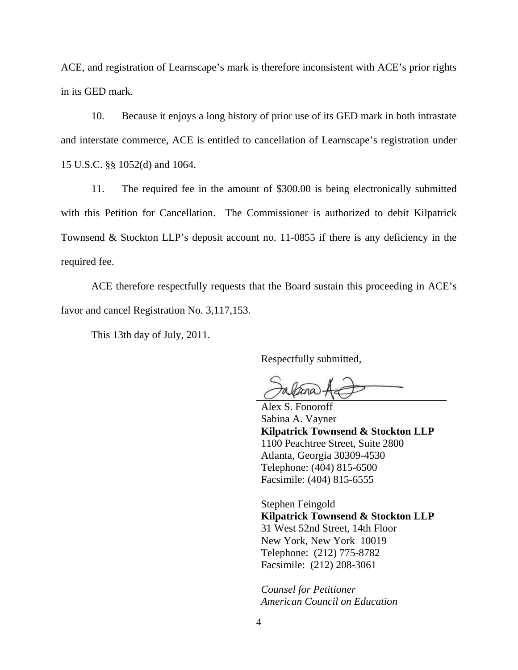ACE, and registration of Learnscape's mark is therefore inconsistent with ACE's prior rights in its GED mark.

10. Because it enjoys a long history of prior use of its GED mark in both intrastate and interstate commerce, ACE is entitled to cancellation of Learnscape's registration under 15 U.S.C. §§ 1052(d) and 1064.

11. The required fee in the amount of \$300.00 is being electronically submitted with this Petition for Cancellation. The Commissioner is authorized to debit Kilpatrick Townsend & Stockton LLP's deposit account no. 11-0855 if there is any deficiency in the required fee.

 ACE therefore respectfully requests that the Board sustain this proceeding in ACE's favor and cancel Registration No. 3,117,153.

This 13th day of July, 2011.

Respectfully submitted,

 Alex S. Fonoroff Sabina A. Vayner  **Kilpatrick Townsend & Stockton LLP**  1100 Peachtree Street, Suite 2800 Atlanta, Georgia 30309-4530 Telephone: (404) 815-6500 Facsimile: (404) 815-6555

Stephen Feingold  **Kilpatrick Townsend & Stockton LLP**  31 West 52nd Street, 14th Floor New York, New York 10019 Telephone: (212) 775-8782 Facsimile: (212) 208-3061

*Counsel for Petitioner American Council on Education*